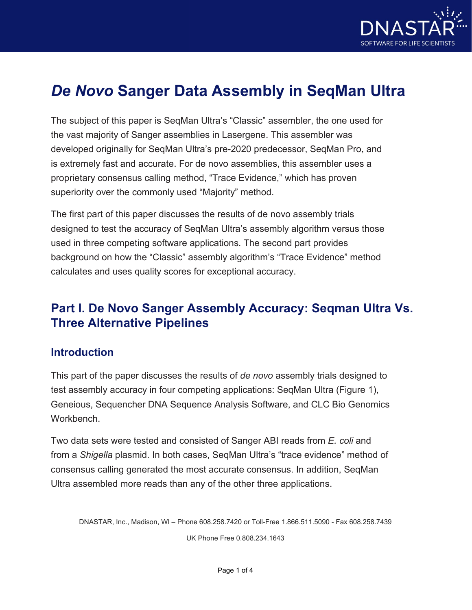

# *De Novo* **Sanger Data Assembly in SeqMan Ultra**

The subject of this paper is SeqMan Ultra's "Classic" assembler, the one used for the vast majority of Sanger assemblies in Lasergene. This assembler was developed originally for SeqMan Ultra's pre-2020 predecessor, SeqMan Pro, and is extremely fast and accurate. For de novo assemblies, this assembler uses a proprietary consensus calling method, "Trace Evidence," which has proven superiority over the commonly used "Majority" method.

The first part of this paper discusses the results of de novo assembly trials designed to test the accuracy of SeqMan Ultra's assembly algorithm versus those used in three competing software applications. The second part provides background on how the "Classic" assembly algorithm's "Trace Evidence" method calculates and uses quality scores for exceptional accuracy.

## **Part I. De Novo Sanger Assembly Accuracy: Seqman Ultra Vs. Three Alternative Pipelines**

#### **Introduction**

This part of the paper discusses the results of *de novo* assembly trials designed to test assembly accuracy in four competing applications: SeqMan Ultra (Figure 1), Geneious, Sequencher DNA Sequence Analysis Software, and CLC Bio Genomics Workbench.

Two data sets were tested and consisted of Sanger ABI reads from *E. coli* and from a *Shigella* plasmid. In both cases, SeqMan Ultra's "trace evidence" method of consensus calling generated the most accurate consensus. In addition, SeqMan Ultra assembled more reads than any of the other three applications.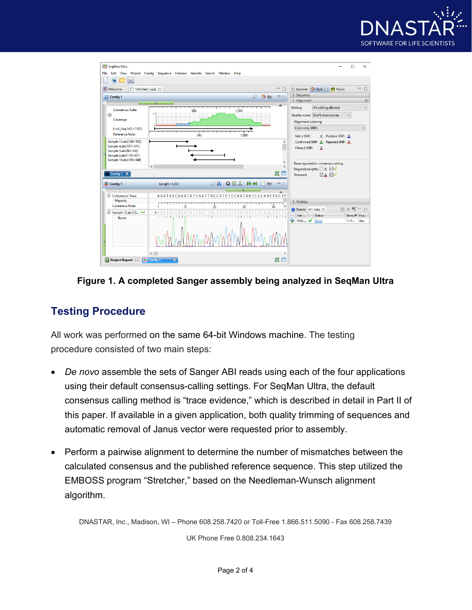



**Figure 1. A completed Sanger assembly being analyzed in SeqMan Ultra**

## **Testing Procedure**

All work was performed on the same 64-bit Windows machine. The testing procedure consisted of two main steps:

- *De novo* assemble the sets of Sanger ABI reads using each of the four applications using their default consensus-calling settings. For SeqMan Ultra, the default consensus calling method is "trace evidence," which is described in detail in Part II of this paper. If available in a given application, both quality trimming of sequences and automatic removal of Janus vector were requested prior to assembly.
- Perform a pairwise alignment to determine the number of mismatches between the calculated consensus and the published reference sequence. This step utilized the EMBOSS program "Stretcher," based on the Needleman-Wunsch alignment algorithm.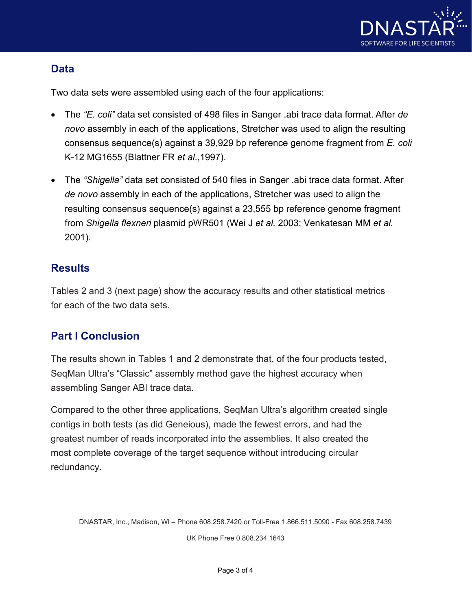

#### **Data**

Two data sets were assembled using each of the four applications:

- The *"E. coli"* data set consisted of 498 files in Sanger .abi trace data format. After *de novo* assembly in each of the applications, Stretcher was used to align the resulting consensus sequence(s) against a 39,929 bp reference genome fragment from *E. coli*  K-12 MG1655 (Blattner FR *et al*.,1997).
- The *"Shigella"* data set consisted of 540 files in Sanger .abi trace data format. After *de novo* assembly in each of the applications, Stretcher was used to align the resulting consensus sequence(s) against a 23,555 bp reference genome fragment from *Shigella flexneri* plasmid pWR501 (Wei J *et al.* 2003; Venkatesan MM *et al.*  2001).

#### **Results**

Tables 2 and 3 (next page) show the accuracy results and other statistical metrics for each of the two data sets.

## **Part I Conclusion**

The results shown in Tables 1 and 2 demonstrate that, of the four products tested, SeqMan Ultra's "Classic" assembly method gave the highest accuracy when assembling Sanger ABI trace data.

Compared to the other three applications, SeqMan Ultra's algorithm created single contigs in both tests (as did Geneious), made the fewest errors, and had the greatest number of reads incorporated into the assemblies. It also created the most complete coverage of the target sequence without introducing circular redundancy.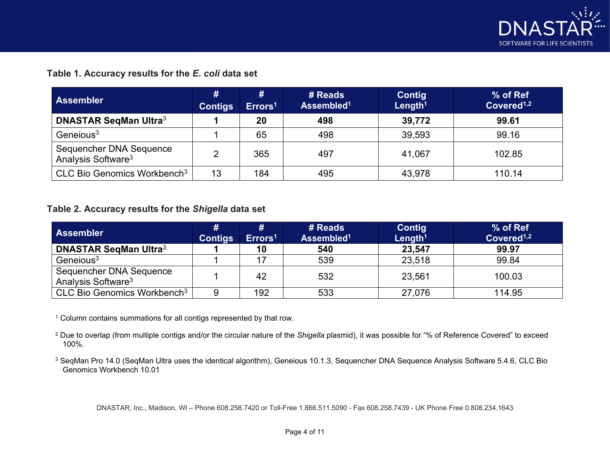

#### **Table 1. Accuracy results for the** *E. coli* **data set**

| <b>Assembler</b>                                          | #<br><b>Contigs</b> | #<br>Errors <sup>1</sup> | # Reads<br>Assembled <sup>1</sup> | Contig<br>Length <sup>1</sup> | % of Ref<br>Covered <sup>1,2</sup> |
|-----------------------------------------------------------|---------------------|--------------------------|-----------------------------------|-------------------------------|------------------------------------|
| <b>DNASTAR SeqMan Ultra3</b>                              |                     | 20                       | 498                               | 39,772                        | 99.61                              |
| Geneious <sup>3</sup>                                     |                     | 65                       | 498                               | 39,593                        | 99.16                              |
| Sequencher DNA Sequence<br>Analysis Software <sup>3</sup> | າ                   | 365                      | 497                               | 41,067                        | 102.85                             |
| CLC Bio Genomics Workbench <sup>3</sup>                   | 13                  | 184                      | 495                               | 43,978                        | 110.14                             |

#### **Table 2. Accuracy results for the** *Shigella* **data set**

| <b>Assembler</b>                                          | #<br><b>Contigs</b> | #<br>Errors <sup>1</sup> | # Reads<br>Assembled <sup>1</sup> | <b>Contig</b><br>Length <sup>1</sup> | % of Ref<br>Covered <sup>1,2</sup> |
|-----------------------------------------------------------|---------------------|--------------------------|-----------------------------------|--------------------------------------|------------------------------------|
| <b>DNASTAR SegMan Ultra3</b>                              |                     | 10                       | 540                               | 23,547                               | 99.97                              |
| Geneious <sup>3</sup>                                     |                     | 17                       | 539                               | 23,518                               | 99.84                              |
| Sequencher DNA Sequence<br>Analysis Software <sup>3</sup> |                     | 42                       | 532                               | 23,561                               | 100.03                             |
| CLC Bio Genomics Workbench <sup>3</sup>                   | 9                   | 192                      | 533                               | 27,076                               | 114.95                             |

<sup>1</sup> Column contains summations for all contigs represented by that row.

<sup>2</sup> Due to overlap (from multiple contigs and/or the circular nature of the *Shigella* plasmid), it was possible for "% of Reference Covered" to exceed 100%.

<sup>3</sup> SeqMan Pro 14.0 (SeqMan Ultra uses the identical algorithm), Geneious 10.1.3, Sequencher DNA Sequence Analysis Software 5.4.6, CLC Bio Genomics Workbench 10.01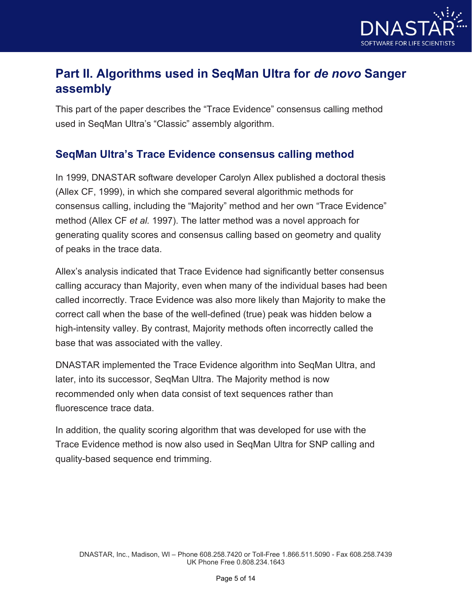

## **Part II. Algorithms used in SeqMan Ultra for** *de novo* **Sanger assembly**

This part of the paper describes the "Trace Evidence" consensus calling method used in SeqMan Ultra's "Classic" assembly algorithm.

#### **SeqMan Ultra's Trace Evidence consensus calling method**

In 1999, DNASTAR software developer Carolyn Allex published a doctoral thesis (Allex CF, 1999), in which she compared several algorithmic methods for consensus calling, including the "Majority" method and her own "Trace Evidence" method (Allex CF *et al.* 1997). The latter method was a novel approach for generating quality scores and consensus calling based on geometry and quality of peaks in the trace data.

Allex's analysis indicated that Trace Evidence had significantly better consensus calling accuracy than Majority, even when many of the individual bases had been called incorrectly. Trace Evidence was also more likely than Majority to make the correct call when the base of the well-defined (true) peak was hidden below a high-intensity valley. By contrast, Majority methods often incorrectly called the base that was associated with the valley.

DNASTAR implemented the Trace Evidence algorithm into SeqMan Ultra, and later, into its successor, SeqMan Ultra. The Majority method is now recommended only when data consist of text sequences rather than fluorescence trace data.

In addition, the quality scoring algorithm that was developed for use with the Trace Evidence method is now also used in SeqMan Ultra for SNP calling and quality-based sequence end trimming.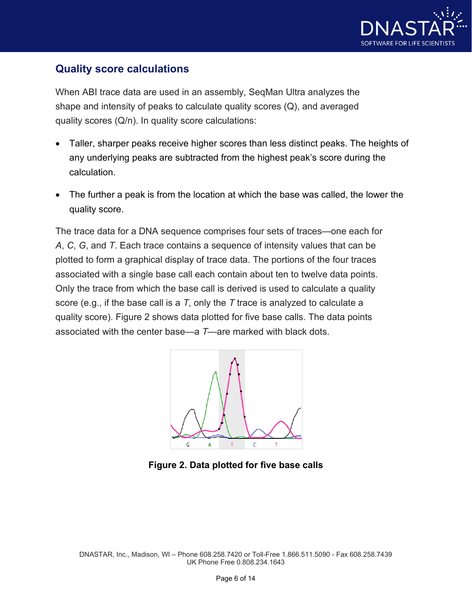

### **Quality score calculations**

When ABI trace data are used in an assembly, SeqMan Ultra analyzes the shape and intensity of peaks to calculate quality scores (Q), and averaged quality scores (Q/n). In quality score calculations:

- Taller, sharper peaks receive higher scores than less distinct peaks. The heights of any underlying peaks are subtracted from the highest peak's score during the calculation.
- The further a peak is from the location at which the base was called, the lower the quality score.

The trace data for a DNA sequence comprises four sets of traces—one each for *A*, *C*, *G*, and *T*. Each trace contains a sequence of intensity values that can be plotted to form a graphical display of trace data. The portions of the four traces associated with a single base call each contain about ten to twelve data points. Only the trace from which the base call is derived is used to calculate a quality score (e.g., if the base call is a *T*, only the *T* trace is analyzed to calculate a quality score). Figure 2 shows data plotted for five base calls. The data points associated with the center base—a *T*—are marked with black dots.



**Figure 2. Data plotted for five base calls**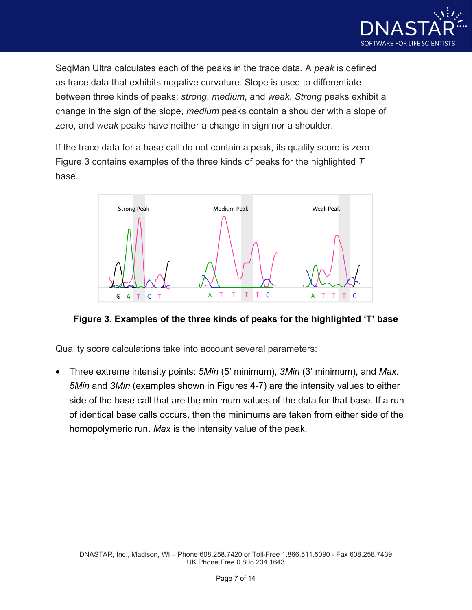

SeqMan Ultra calculates each of the peaks in the trace data. A *peak* is defined as trace data that exhibits negative curvature. Slope is used to differentiate between three kinds of peaks: *strong*, *medium*, and *weak*. *Strong* peaks exhibit a change in the sign of the slope, *medium* peaks contain a shoulder with a slope of zero, and *weak* peaks have neither a change in sign nor a shoulder.

If the trace data for a base call do not contain a peak, its quality score is zero. Figure 3 contains examples of the three kinds of peaks for the highlighted *T* base.



**Figure 3. Examples of the three kinds of peaks for the highlighted 'T' base**

Quality score calculations take into account several parameters:

• Three extreme intensity points: *5Min* (5' minimum), *3Min* (3' minimum), and *Max*. *5Min* and *3Min* (examples shown in Figures 4-7) are the intensity values to either side of the base call that are the minimum values of the data for that base. If a run of identical base calls occurs, then the minimums are taken from either side of the homopolymeric run. *Max* is the intensity value of the peak.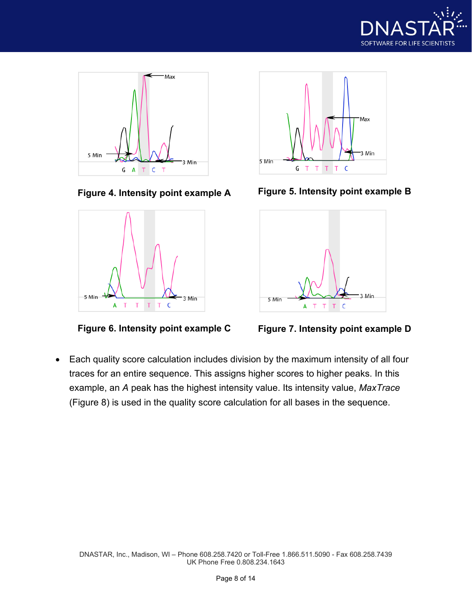







**Figure 4. Intensity point example A Figure 5. Intensity point example B**





• Each quality score calculation includes division by the maximum intensity of all four traces for an entire sequence. This assigns higher scores to higher peaks. In this example, an *A* peak has the highest intensity value. Its intensity value, *MaxTrace* (Figure 8) is used in the quality score calculation for all bases in the sequence.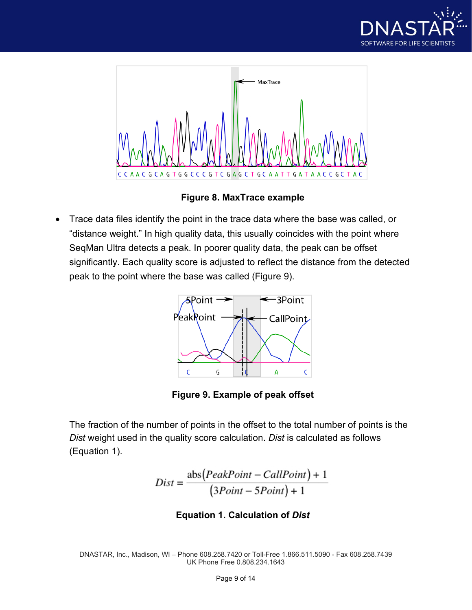



**Figure 8. MaxTrace example**

• Trace data files identify the point in the trace data where the base was called, or "distance weight." In high quality data, this usually coincides with the point where SeqMan Ultra detects a peak. In poorer quality data, the peak can be offset significantly. Each quality score is adjusted to reflect the distance from the detected peak to the point where the base was called (Figure 9).



**Figure 9. Example of peak offset**

The fraction of the number of points in the offset to the total number of points is the *Dist* weight used in the quality score calculation. *Dist* is calculated as follows (Equation 1).

$$
Dist = \frac{abs(PeakPoint - CallPoint) + 1}{(3Point - 5Point) + 1}
$$

#### **Equation 1. Calculation of** *Dist*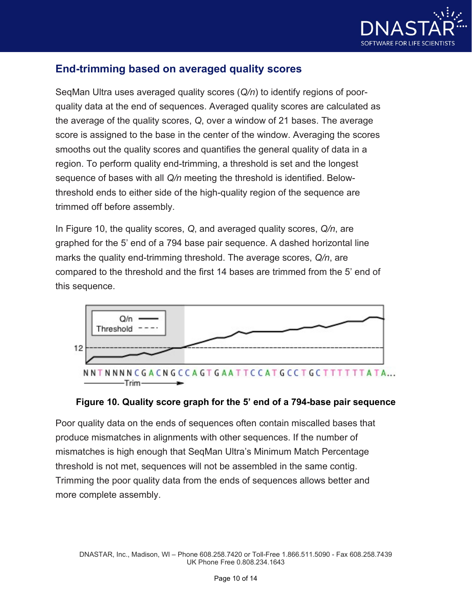

## **End-trimming based on averaged quality scores**

SeqMan Ultra uses averaged quality scores (*Q/n*) to identify regions of poorquality data at the end of sequences. Averaged quality scores are calculated as the average of the quality scores, *Q*, over a window of 21 bases. The average score is assigned to the base in the center of the window. Averaging the scores smooths out the quality scores and quantifies the general quality of data in a region. To perform quality end-trimming, a threshold is set and the longest sequence of bases with all *Q/n* meeting the threshold is identified. Belowthreshold ends to either side of the high-quality region of the sequence are trimmed off before assembly.

In Figure 10, the quality scores, *Q*, and averaged quality scores, *Q/n*, are graphed for the 5' end of a 794 base pair sequence. A dashed horizontal line marks the quality end-trimming threshold. The average scores, *Q/n*, are compared to the threshold and the first 14 bases are trimmed from the 5' end of this sequence.



#### **Figure 10. Quality score graph for the 5' end of a 794-base pair sequence**

Poor quality data on the ends of sequences often contain miscalled bases that produce mismatches in alignments with other sequences. If the number of mismatches is high enough that SeqMan Ultra's Minimum Match Percentage threshold is not met, sequences will not be assembled in the same contig. Trimming the poor quality data from the ends of sequences allows better and more complete assembly.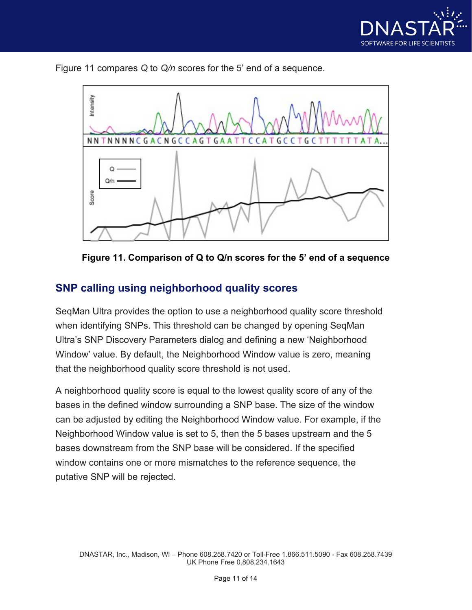

Figure 11 compares *Q* to *Q/n* scores for the 5' end of a sequence.



**Figure 11. Comparison of Q to Q/n scores for the 5' end of a sequence**

#### **SNP calling using neighborhood quality scores**

SeqMan Ultra provides the option to use a neighborhood quality score threshold when identifying SNPs. This threshold can be changed by opening SeqMan Ultra's SNP Discovery Parameters dialog and defining a new 'Neighborhood Window' value. By default, the Neighborhood Window value is zero, meaning that the neighborhood quality score threshold is not used.

A neighborhood quality score is equal to the lowest quality score of any of the bases in the defined window surrounding a SNP base. The size of the window can be adjusted by editing the Neighborhood Window value. For example, if the Neighborhood Window value is set to 5, then the 5 bases upstream and the 5 bases downstream from the SNP base will be considered. If the specified window contains one or more mismatches to the reference sequence, the putative SNP will be rejected.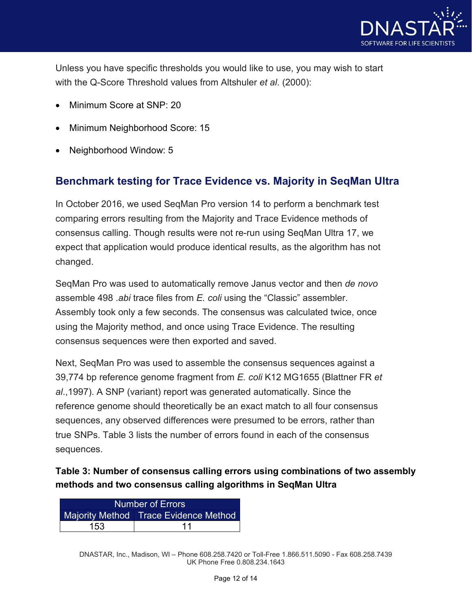

Unless you have specific thresholds you would like to use, you may wish to start with the Q-Score Threshold values from Altshuler *et al*. (2000):

- Minimum Score at SNP: 20
- Minimum Neighborhood Score: 15
- Neighborhood Window: 5

#### **Benchmark testing for Trace Evidence vs. Majority in SeqMan Ultra**

In October 2016, we used SeqMan Pro version 14 to perform a benchmark test comparing errors resulting from the Majority and Trace Evidence methods of consensus calling. Though results were not re-run using SeqMan Ultra 17, we expect that application would produce identical results, as the algorithm has not changed.

SeqMan Pro was used to automatically remove Janus vector and then *de novo* assemble 498 .*abi* trace files from *E. coli* using the "Classic" assembler. Assembly took only a few seconds. The consensus was calculated twice, once using the Majority method, and once using Trace Evidence. The resulting consensus sequences were then exported and saved.

Next, SeqMan Pro was used to assemble the consensus sequences against a 39,774 bp reference genome fragment from *E. coli* K12 MG1655 (Blattner FR *et al*.,1997). A SNP (variant) report was generated automatically. Since the reference genome should theoretically be an exact match to all four consensus sequences, any observed differences were presumed to be errors, rather than true SNPs. Table 3 lists the number of errors found in each of the consensus sequences.

#### **Table 3: Number of consensus calling errors using combinations of two assembly methods and two consensus calling algorithms in SeqMan Ultra**

| Number of Errors |                                       |  |  |
|------------------|---------------------------------------|--|--|
|                  | Majority Method Trace Evidence Method |  |  |
| 153              |                                       |  |  |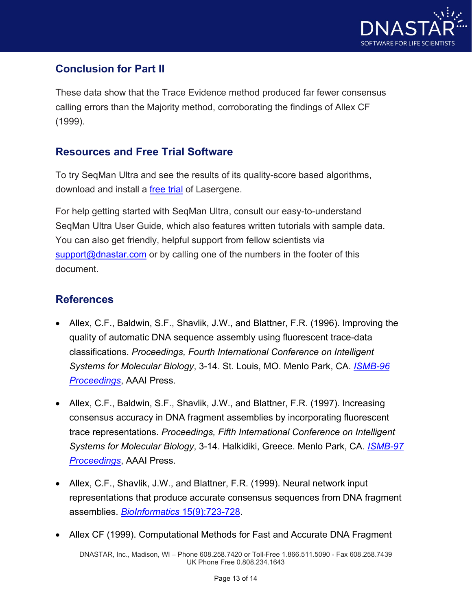

## **Conclusion for Part II**

These data show that the Trace Evidence method produced far fewer consensus calling errors than the Majority method, corroborating the findings of Allex CF (1999).

#### **Resources and Free Trial Software**

To try SeqMan Ultra and see the results of its quality-score based algorithms, download and install a [free trial](https://www.dnastar.com/f-reg-submit.aspx?&process=submit) of Lasergene.

For help getting started with SeqMan Ultra, consult our easy-to-understand SeqMan Ultra User Guide, which also features written tutorials with sample data. You can also get friendly, helpful support from fellow scientists via [support@dnastar.com](mailto:support@dnastar.com) or by calling one of the numbers in the footer of this document.

#### **References**

- Allex, C.F., Baldwin, S.F., Shavlik, J.W., and Blattner, F.R. (1996). Improving the quality of automatic DNA sequence assembly using fluorescent trace-data classifications. *Proceedings, Fourth International Conference on Intelligent Systems for Molecular Biology*, 3-14. St. Louis, MO. Menlo Park, CA. *[ISMB-96](http://www.aaai.org/Papers/ISMB/1996/ISMB96-001.pdf)  [Proceedings](http://www.aaai.org/Papers/ISMB/1996/ISMB96-001.pdf)*, AAAI Press.
- Allex, C.F., Baldwin, S.F., Shavlik, J.W., and Blattner, F.R. (1997). Increasing consensus accuracy in DNA fragment assemblies by incorporating fluorescent trace representations. *Proceedings, Fifth International Conference on Intelligent Systems for Molecular Biology*, 3-14. Halkidiki, Greece. Menlo Park, CA. *[ISMB-97](https://www.aaai.org/Papers/ISMB/1997/ISMB97-001.pdf)  [Proceedings](https://www.aaai.org/Papers/ISMB/1997/ISMB97-001.pdf)*, AAAI Press.
- Allex, C.F., Shavlik, J.W., and Blattner, F.R. (1999). Neural network input representations that produce accurate consensus sequences from DNA fragment assemblies. *BioInformatics* [15\(9\):723-728.](http://bioinformatics.oxfordjournals.org/content/15/9/723.full.pdf)
- Allex CF (1999). Computational Methods for Fast and Accurate DNA Fragment